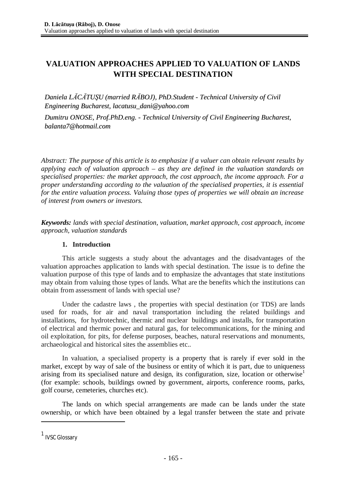# **VALUATION APPROACHES APPLIED TO VALUATION OF LANDS WITH SPECIAL DESTINATION**

*Daniela LĂCĂTUŞU (married RĂBOJ), PhD.Student - Technical University of Civil Engineering Bucharest, [lacatusu\\_dani@yahoo.com](mailto:llaaccaattuussuu__ddaannii@@yyaahhoooo..ccoomm)*

*Dumitru ONOSE, Prof.PhD.eng. - Technical University of Civil Engineering Bucharest, [balanta7@hotmail.com](mailto:bbaallaannttaa77@@hhoottmmaaiill..ccoomm)*

*Abstract: The purpose of this article is to emphasize if a valuer can obtain relevant results by applying each of valuation approach – as they are defined in the valuation standards on specialised properties: the market approach, the cost approach, the income approach. For a proper understanding according to the valuation of the specialised properties, it is essential for the entire valuation process. Valuing those types of properties we will obtain an increase of interest from owners or investors.*

*Keywords: lands with special destination, valuation, market approach, cost approach, income approach, valuation standards*

# **1. Introduction**

This article suggests a study about the advantages and the disadvantages of the valuation approaches application to lands with special destination. The issue is to define the valuation purpose of this type of lands and to emphasize the advantages that state institutions may obtain from valuing those types of lands. What are the benefits which the institutions can obtain from assessment of lands with special use?

Under the cadastre laws , the properties with special destination (or TDS) are lands used for roads, for air and naval transportation including the related buildings and installations, for hydrotechnic, thermic and nuclear buildings and installs, for transportation of electrical and thermic power and natural gas, for telecommunications, for the mining and oil exploitation, for pits, for defense purposes, beaches, natural reservations and monuments, archaeological and historical sites the assemblies etc..

In valuation, a specialised property is a property that is rarely if ever sold in the market, except by way of sale of the business or entity of which it is part, due to uniqueness arising from its specialised nature and design, its configuration, size, location or otherwise<sup>1</sup> (for example: schools, buildings owned by government, airports, conference rooms, parks, golf course, cemeteries, churches etc).

The lands on which special arrangements are made can be lands under the state ownership, or which have been obtained by a legal transfer between the state and private

<sup>&</sup>lt;sup>1</sup> IVSC Glossary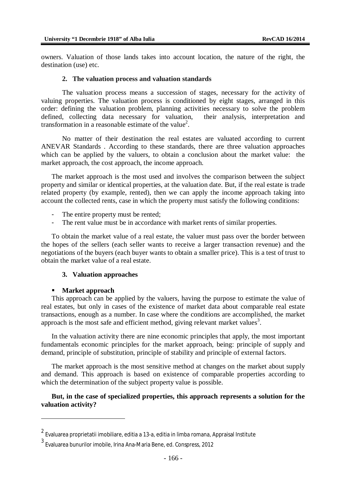owners. Valuation of those lands takes into account location, the nature of the right, the destination (use) etc.

#### **2. The valuation process and valuation standards**

The valuation process means a succession of stages, necessary for the activity of valuing properties. The valuation process is conditioned by eight stages, arranged in this order: defining the valuation problem, planning activities necessary to solve the problem defined, collecting data necessary for valuation, their analysis, interpretation and transformation in a reasonable estimate of the value<sup>2</sup>.

No matter of their destination the real estates are valuated according to current ANEVAR Standards . According to these standards, there are three valuation approaches which can be applied by the valuers, to obtain a conclusion about the market value: the market approach, the cost approach, the income approach.

The market approach is the most used and involves the comparison between the subject property and similar or identical properties, at the valuation date. But, if the real estate is trade related property (by example, rented), then we can apply the income approach taking into account the collected rents, case in which the property must satisfy the following conditions:

- The entire property must be rented;
- The rent value must be in accordance with market rents of similar properties.

To obtain the market value of a real estate, the valuer must pass over the border between the hopes of the sellers (each seller wants to receive a larger transaction revenue) and the negotiations of the buyers (each buyer wants to obtain a smaller price). This is a test of trust to obtain the market value of a real estate.

### **3. Valuation approaches**

#### **Market approach**

This approach can be applied by the valuers, having the purpose to estimate the value of real estates, but only in cases of the existence of market data about comparable real estate transactions, enough as a number. In case where the conditions are accomplished, the market approach is the most safe and efficient method, giving relevant market values<sup>3</sup>.

In the valuation activity there are nine economic principles that apply, the most important fundamentals economic principles for the market approach, being: principle of supply and demand, principle of substitution, principle of stability and principle of external factors.

The market approach is the most sensitive method at changes on the market about supply and demand. This approach is based on existence of comparable properties according to which the determination of the subject property value is possible.

## **But, in the case of specialized properties, this approach represents a solution for the valuation activity?**

 $^{\mathsf{2}}$  Evaluarea proprietatii imobiliare, editia a 13-a, editia in limba romana, Appraisal Institute

<sup>3</sup> Evaluarea bunurilor imobile, Irina Ana-Maria Bene, ed. Conspress, 2012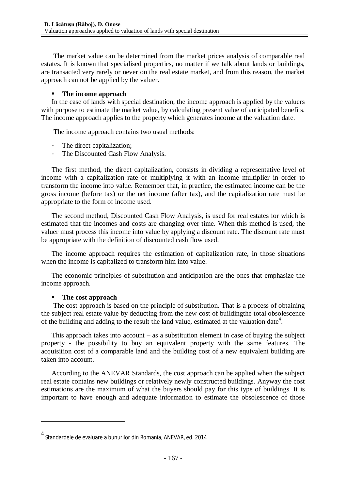The market value can be determined from the market prices analysis of comparable real estates. It is known that specialised properties, no matter if we talk about lands or buildings, are transacted very rarely or never on the real estate market, and from this reason, the market approach can not be applied by the valuer.

## **The income approach**

In the case of lands with special destination, the income approach is applied by the valuers with purpose to estimate the market value, by calculating present value of anticipated benefits. The income approach applies to the property which generates income at the valuation date.

The income approach contains two usual methods:

- The direct capitalization;
- The Discounted Cash Flow Analysis.

The first method, the direct capitalization, consists in dividing a representative level of income with a capitalization rate or multiplying it with an income multiplier in order to transform the income into value. Remember that, in practice, the estimated income can be the gross income (before tax) or the net income (after tax), and the capitalization rate must be appropriate to the form of income used.

The second method, Discounted Cash Flow Analysis, is used for real estates for which is estimated that the incomes and costs are changing over time. When this method is used, the valuer must process this income into value by applying a discount rate. The discount rate must be appropriate with the definition of discounted cash flow used.

The income approach requires the estimation of capitalization rate, in those situations when the income is capitalized to transform him into value.

The economic principles of substitution and anticipation are the ones that emphasize the income approach.

# **The cost approach**

The cost approach is based on the principle of substitution. That is a process of obtaining the subject real estate value by deducting from the new cost of buildingthe total obsolescence of the building and adding to the result the land value, estimated at the valuation date<sup>4</sup>.

This approach takes into account  $-$  as a substitution element in case of buying the subject property - the possibility to buy an equivalent property with the same features. The acquisition cost of a comparable land and the building cost of a new equivalent building are taken into account.

According to the ANEVAR Standards, the cost approach can be applied when the subject real estate contains new buildings or relatively newly constructed buildings. Anyway the cost estimations are the maximum of what the buyers should pay for this type of buildings. It is important to have enough and adequate information to estimate the obsolescence of those

<sup>4</sup> Standardele de evaluare a bunurilor din Romania, ANEVAR, ed. 2014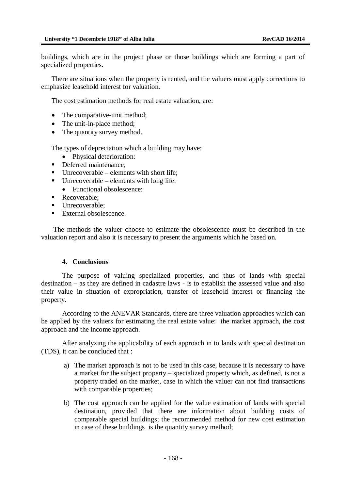buildings, which are in the project phase or those buildings which are forming a part of specialized properties.

There are situations when the property is rented, and the valuers must apply corrections to emphasize leasehold interest for valuation.

The cost estimation methods for real estate valuation, are:

- The comparative-unit method;
- The unit-in-place method;
- The quantity survey method.

The types of depreciation which a building may have:

- Physical deterioration:
- Deferred maintenance:
- $\blacksquare$  Unrecoverable elements with short life;
- $\blacksquare$  Unrecoverable elements with long life.
	- Functional obsolescence:
- Recoverable:
- Unrecoverable:
- $\blacksquare$  External obsolescence.

The methods the valuer choose to estimate the obsolescence must be described in the valuation report and also it is necessary to present the arguments which he based on.

#### **4. Conclusions**

The purpose of valuing specialized properties, and thus of lands with special destination – as they are defined in cadastre laws - is to establish the assessed value and also their value in situation of expropriation, transfer of leasehold interest or financing the property.

According to the ANEVAR Standards, there are three valuation approaches which can be applied by the valuers for estimating the real estate value: the market approach, the cost approach and the income approach.

After analyzing the applicability of each approach in to lands with special destination (TDS), it can be concluded that :

- a) The market approach is not to be used in this case, because it is necessary to have a market for the subject property – specialized property which, as defined, is not a property traded on the market, case in which the valuer can not find transactions with comparable properties;
- b) The cost approach can be applied for the value estimation of lands with special destination, provided that there are information about building costs of comparable special buildings; the recommended method for new cost estimation in case of these buildings is the quantity survey method;